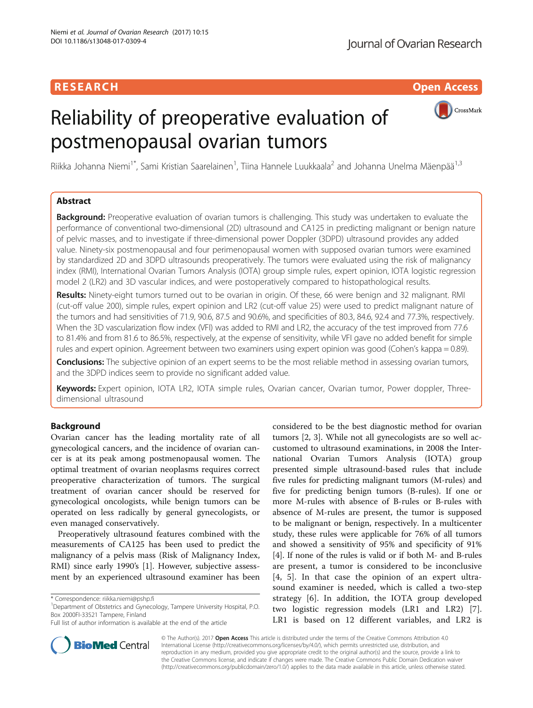# Reliability of preoperative evaluation of postmenopausal ovarian tumors



Riikka Johanna Niemi<sup>1\*</sup>, Sami Kristian Saarelainen<sup>1</sup>, Tiina Hannele Luukkaala<sup>2</sup> and Johanna Unelma Mäenpää<sup>1,3</sup>

# Abstract

Background: Preoperative evaluation of ovarian tumors is challenging. This study was undertaken to evaluate the performance of conventional two-dimensional (2D) ultrasound and CA125 in predicting malignant or benign nature of pelvic masses, and to investigate if three-dimensional power Doppler (3DPD) ultrasound provides any added value. Ninety-six postmenopausal and four perimenopausal women with supposed ovarian tumors were examined by standardized 2D and 3DPD ultrasounds preoperatively. The tumors were evaluated using the risk of malignancy index (RMI), International Ovarian Tumors Analysis (IOTA) group simple rules, expert opinion, IOTA logistic regression model 2 (LR2) and 3D vascular indices, and were postoperatively compared to histopathological results.

Results: Ninety-eight tumors turned out to be ovarian in origin. Of these, 66 were benign and 32 malignant. RMI (cut-off value 200), simple rules, expert opinion and LR2 (cut-off value 25) were used to predict malignant nature of the tumors and had sensitivities of 71.9, 90.6, 87.5 and 90.6%, and specificities of 80.3, 84.6, 92.4 and 77.3%, respectively. When the 3D vascularization flow index (VFI) was added to RMI and LR2, the accuracy of the test improved from 77.6 to 81.4% and from 81.6 to 86.5%, respectively, at the expense of sensitivity, while VFI gave no added benefit for simple rules and expert opinion. Agreement between two examiners using expert opinion was good (Cohen's kappa = 0.89).

Conclusions: The subjective opinion of an expert seems to be the most reliable method in assessing ovarian tumors, and the 3DPD indices seem to provide no significant added value.

Keywords: Expert opinion, IOTA LR2, IOTA simple rules, Ovarian cancer, Ovarian tumor, Power doppler, Threedimensional ultrasound

# Background

Ovarian cancer has the leading mortality rate of all gynecological cancers, and the incidence of ovarian cancer is at its peak among postmenopausal women. The optimal treatment of ovarian neoplasms requires correct preoperative characterization of tumors. The surgical treatment of ovarian cancer should be reserved for gynecological oncologists, while benign tumors can be operated on less radically by general gynecologists, or even managed conservatively.

Preoperatively ultrasound features combined with the measurements of CA125 has been used to predict the malignancy of a pelvis mass (Risk of Malignancy Index, RMI) since early 1990's [\[1](#page-6-0)]. However, subjective assessment by an experienced ultrasound examiner has been

Department of Obstetrics and Gynecology, Tampere University Hospital, P.O. Box 2000FI-33521 Tampere, Finland

considered to be the best diagnostic method for ovarian tumors [\[2](#page-6-0), [3](#page-6-0)]. While not all gynecologists are so well accustomed to ultrasound examinations, in 2008 the International Ovarian Tumors Analysis (IOTA) group presented simple ultrasound-based rules that include five rules for predicting malignant tumors (M-rules) and five for predicting benign tumors (B-rules). If one or more M-rules with absence of B-rules or B-rules with absence of M-rules are present, the tumor is supposed to be malignant or benign, respectively. In a multicenter study, these rules were applicable for 76% of all tumors and showed a sensitivity of 95% and specificity of 91% [[4\]](#page-6-0). If none of the rules is valid or if both M- and B-rules are present, a tumor is considered to be inconclusive [[4, 5\]](#page-6-0). In that case the opinion of an expert ultrasound examiner is needed, which is called a two-step strategy [[6\]](#page-6-0). In addition, the IOTA group developed two logistic regression models (LR1 and LR2) [\[7](#page-6-0)]. LR1 is based on 12 different variables, and LR2 is



© The Author(s). 2017 **Open Access** This article is distributed under the terms of the Creative Commons Attribution 4.0 International License [\(http://creativecommons.org/licenses/by/4.0/](http://creativecommons.org/licenses/by/4.0/)), which permits unrestricted use, distribution, and reproduction in any medium, provided you give appropriate credit to the original author(s) and the source, provide a link to the Creative Commons license, and indicate if changes were made. The Creative Commons Public Domain Dedication waiver [\(http://creativecommons.org/publicdomain/zero/1.0/](http://creativecommons.org/publicdomain/zero/1.0/)) applies to the data made available in this article, unless otherwise stated.

<sup>\*</sup> Correspondence: [riikka.niemi@pshp.fi](mailto:riikka.niemi@pshp.fi) <sup>1</sup>

Full list of author information is available at the end of the article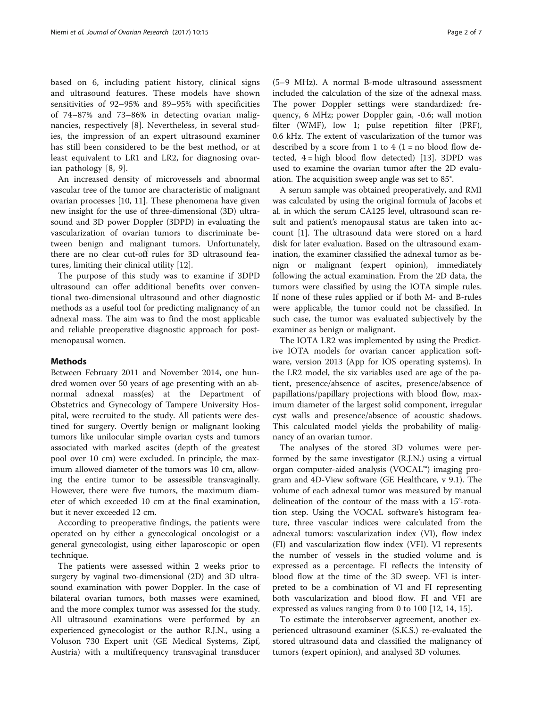based on 6, including patient history, clinical signs and ultrasound features. These models have shown sensitivities of 92–95% and 89–95% with specificities of 74–87% and 73–86% in detecting ovarian malignancies, respectively [\[8](#page-6-0)]. Nevertheless, in several studies, the impression of an expert ultrasound examiner has still been considered to be the best method, or at least equivalent to LR1 and LR2, for diagnosing ovarian pathology [\[8](#page-6-0), [9](#page-6-0)].

An increased density of microvessels and abnormal vascular tree of the tumor are characteristic of malignant ovarian processes [[10, 11\]](#page-6-0). These phenomena have given new insight for the use of three-dimensional (3D) ultrasound and 3D power Doppler (3DPD) in evaluating the vascularization of ovarian tumors to discriminate between benign and malignant tumors. Unfortunately, there are no clear cut-off rules for 3D ultrasound features, limiting their clinical utility [[12](#page-6-0)].

The purpose of this study was to examine if 3DPD ultrasound can offer additional benefits over conventional two-dimensional ultrasound and other diagnostic methods as a useful tool for predicting malignancy of an adnexal mass. The aim was to find the most applicable and reliable preoperative diagnostic approach for postmenopausal women.

## Methods

Between February 2011 and November 2014, one hundred women over 50 years of age presenting with an abnormal adnexal mass(es) at the Department of Obstetrics and Gynecology of Tampere University Hospital, were recruited to the study. All patients were destined for surgery. Overtly benign or malignant looking tumors like unilocular simple ovarian cysts and tumors associated with marked ascites (depth of the greatest pool over 10 cm) were excluded. In principle, the maximum allowed diameter of the tumors was 10 cm, allowing the entire tumor to be assessible transvaginally. However, there were five tumors, the maximum diameter of which exceeded 10 cm at the final examination, but it never exceeded 12 cm.

According to preoperative findings, the patients were operated on by either a gynecological oncologist or a general gynecologist, using either laparoscopic or open technique.

The patients were assessed within 2 weeks prior to surgery by vaginal two-dimensional (2D) and 3D ultrasound examination with power Doppler. In the case of bilateral ovarian tumors, both masses were examined, and the more complex tumor was assessed for the study. All ultrasound examinations were performed by an experienced gynecologist or the author R.J.N., using a Voluson 730 Expert unit (GE Medical Systems, Zipf, Austria) with a multifrequency transvaginal transducer

(5–9 MHz). A normal B-mode ultrasound assessment included the calculation of the size of the adnexal mass. The power Doppler settings were standardized: frequency, 6 MHz; power Doppler gain, -0.6; wall motion filter (WMF), low 1; pulse repetition filter (PRF), 0.6 kHz. The extent of vascularization of the tumor was described by a score from 1 to 4 ( $1 =$  no blood flow detected,  $4 = high blood flow detected$  [[13](#page-6-0)]. 3DPD was used to examine the ovarian tumor after the 2D evaluation. The acquisition sweep angle was set to 85°.

A serum sample was obtained preoperatively, and RMI was calculated by using the original formula of Jacobs et al. in which the serum CA125 level, ultrasound scan result and patient's menopausal status are taken into account [[1\]](#page-6-0). The ultrasound data were stored on a hard disk for later evaluation. Based on the ultrasound examination, the examiner classified the adnexal tumor as benign or malignant (expert opinion), immediately following the actual examination. From the 2D data, the tumors were classified by using the IOTA simple rules. If none of these rules applied or if both M- and B-rules were applicable, the tumor could not be classified. In such case, the tumor was evaluated subjectively by the examiner as benign or malignant.

The IOTA LR2 was implemented by using the Predictive IOTA models for ovarian cancer application software, version 2013 (App for IOS operating systems). In the LR2 model, the six variables used are age of the patient, presence/absence of ascites, presence/absence of papillations/papillary projections with blood flow, maximum diameter of the largest solid component, irregular cyst walls and presence/absence of acoustic shadows. This calculated model yields the probability of malignancy of an ovarian tumor.

The analyses of the stored 3D volumes were performed by the same investigator (R.J.N.) using a virtual organ computer-aided analysis (VOCAL™) imaging program and 4D-View software (GE Healthcare, v 9.1). The volume of each adnexal tumor was measured by manual delineation of the contour of the mass with a 15°-rotation step. Using the VOCAL software's histogram feature, three vascular indices were calculated from the adnexal tumors: vascularization index (VI), flow index (FI) and vascularization flow index (VFI). VI represents the number of vessels in the studied volume and is expressed as a percentage. FI reflects the intensity of blood flow at the time of the 3D sweep. VFI is interpreted to be a combination of VI and FI representing both vascularization and blood flow. FI and VFI are expressed as values ranging from 0 to 100 [\[12, 14, 15\]](#page-6-0).

To estimate the interobserver agreement, another experienced ultrasound examiner (S.K.S.) re-evaluated the stored ultrasound data and classified the malignancy of tumors (expert opinion), and analysed 3D volumes.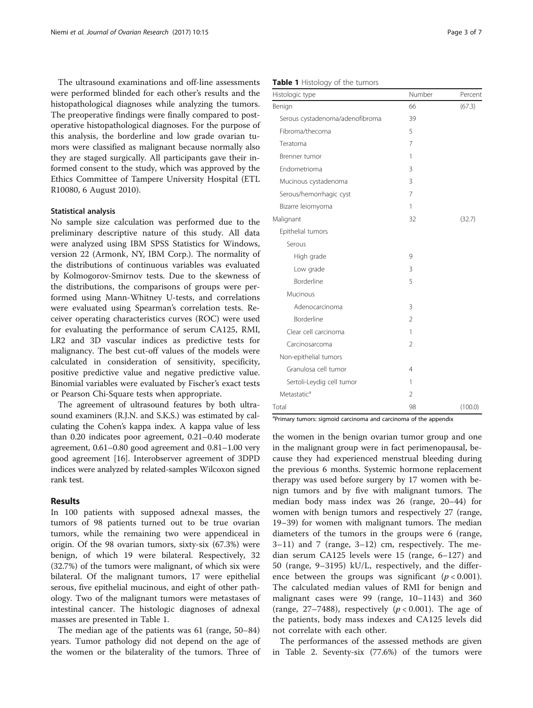The ultrasound examinations and off-line assessments were performed blinded for each other's results and the histopathological diagnoses while analyzing the tumors. The preoperative findings were finally compared to postoperative histopathological diagnoses. For the purpose of this analysis, the borderline and low grade ovarian tumors were classified as malignant because normally also they are staged surgically. All participants gave their informed consent to the study, which was approved by the Ethics Committee of Tampere University Hospital (ETL R10080, 6 August 2010).

#### Statistical analysis

No sample size calculation was performed due to the preliminary descriptive nature of this study. All data were analyzed using IBM SPSS Statistics for Windows, version 22 (Armonk, NY, IBM Corp.). The normality of the distributions of continuous variables was evaluated by Kolmogorov-Smirnov tests. Due to the skewness of the distributions, the comparisons of groups were performed using Mann-Whitney U-tests, and correlations were evaluated using Spearman's correlation tests. Receiver operating characteristics curves (ROC) were used for evaluating the performance of serum CA125, RMI, LR2 and 3D vascular indices as predictive tests for malignancy. The best cut-off values of the models were calculated in consideration of sensitivity, specificity, positive predictive value and negative predictive value. Binomial variables were evaluated by Fischer's exact tests or Pearson Chi-Square tests when appropriate.

The agreement of ultrasound features by both ultrasound examiners (R.J.N. and S.K.S.) was estimated by calculating the Cohen's kappa index. A kappa value of less than 0.20 indicates poor agreement, 0.21–0.40 moderate agreement, 0.61–0.80 good agreement and 0.81–1.00 very good agreement [\[16\]](#page-6-0). Interobserver agreement of 3DPD indices were analyzed by related-samples Wilcoxon signed rank test.

## Results

In 100 patients with supposed adnexal masses, the tumors of 98 patients turned out to be true ovarian tumors, while the remaining two were appendiceal in origin. Of the 98 ovarian tumors, sixty-six (67.3%) were benign, of which 19 were bilateral. Respectively, 32 (32.7%) of the tumors were malignant, of which six were bilateral. Of the malignant tumors, 17 were epithelial serous, five epithelial mucinous, and eight of other pathology. Two of the malignant tumors were metastases of intestinal cancer. The histologic diagnoses of adnexal masses are presented in Table 1.

The median age of the patients was 61 (range, 50–84) years. Tumor pathology did not depend on the age of the women or the bilaterality of the tumors. Three of

## Table 1 Histology of the tumors

| Histologic type                 | Number         | Percent |
|---------------------------------|----------------|---------|
| Benign                          | 66             | (67.3)  |
| Serous cystadenoma/adenofibroma | 39             |         |
| Fibroma/thecoma                 | 5              |         |
| Teratoma                        | 7              |         |
| Brenner tumor                   | 1              |         |
| Endometrioma                    | 3              |         |
| Mucinous cystadenoma            | 3              |         |
| Serous/hemorrhagic cyst         | 7              |         |
| Bizarre leiomyoma               | 1              |         |
| Malignant                       | 32             | (32.7)  |
| Epithelial tumors               |                |         |
| Serous                          |                |         |
| High grade                      | 9              |         |
| Low grade                       | 3              |         |
| <b>Borderline</b>               | 5              |         |
| Mucinous                        |                |         |
| Adenocarcinoma                  | 3              |         |
| <b>Borderline</b>               | $\overline{2}$ |         |
| Clear cell carcinoma            | 1              |         |
| Carcinosarcoma                  | $\overline{2}$ |         |
| Non-epithelial tumors           |                |         |
| Granulosa cell tumor            | 4              |         |
| Sertoli-Leydig cell tumor       | 1              |         |
| Metastatic <sup>a</sup>         | $\overline{2}$ |         |
| Total                           | 98             | (100.0) |

<sup>a</sup>Primary tumors: sigmoid carcinoma and carcinoma of the appendix

the women in the benign ovarian tumor group and one in the malignant group were in fact perimenopausal, because they had experienced menstrual bleeding during the previous 6 months. Systemic hormone replacement therapy was used before surgery by 17 women with benign tumors and by five with malignant tumors. The median body mass index was 26 (range, 20–44) for women with benign tumors and respectively 27 (range, 19–39) for women with malignant tumors. The median diameters of the tumors in the groups were 6 (range, 3–11) and 7 (range, 3–12) cm, respectively. The median serum CA125 levels were 15 (range, 6–127) and 50 (range, 9–3195) kU/L, respectively, and the difference between the groups was significant  $(p < 0.001)$ . The calculated median values of RMI for benign and malignant cases were 99 (range, 10–1143) and 360 (range, 27-7488), respectively  $(p < 0.001)$ . The age of the patients, body mass indexes and CA125 levels did not correlate with each other.

The performances of the assessed methods are given in Table [2](#page-3-0). Seventy-six (77.6%) of the tumors were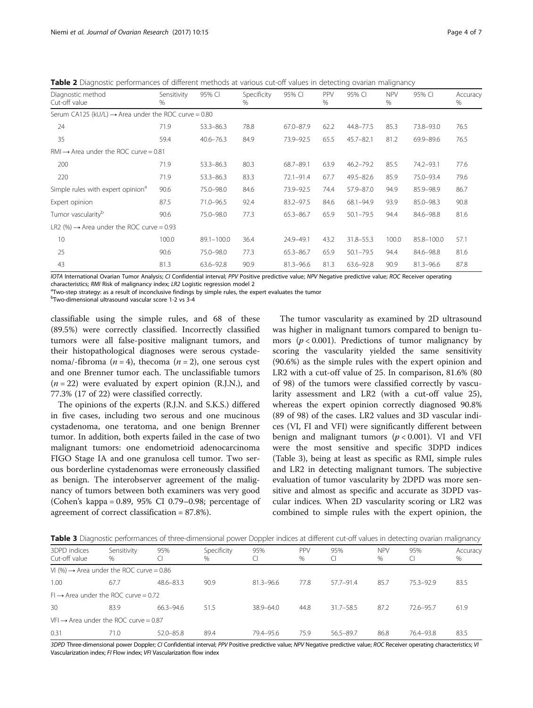<span id="page-3-0"></span>Table 2 Diagnostic performances of different methods at various cut-off values in detecting ovarian malignancy

| Diagnostic method<br>Cut-off value                               | Sensitivity<br>% | 95% CI         | Specificity<br>$\frac{0}{0}$ | 95% CI        | PPV<br>$\%$ | 95% CI        | <b>NPV</b><br>$\%$ | 95% CI        | Accuracy<br>% |
|------------------------------------------------------------------|------------------|----------------|------------------------------|---------------|-------------|---------------|--------------------|---------------|---------------|
| Serum CA125 (kU/L) $\rightarrow$ Area under the ROC curve = 0.80 |                  |                |                              |               |             |               |                    |               |               |
| 24                                                               | 71.9             | $53.3 - 86.3$  | 78.8                         | 67.0-87.9     | 62.2        | $44.8 - 77.5$ | 85.3               | 73.8-93.0     | 76.5          |
| 35                                                               | 59.4             | $40.6 - 76.3$  | 84.9                         | 73.9-92.5     | 65.5        | $45.7 - 82.1$ | 81.2               | 69.9-89.6     | 76.5          |
| $RM \rightarrow$ Area under the ROC curve = 0.81                 |                  |                |                              |               |             |               |                    |               |               |
| 200                                                              | 71.9             | $53.3 - 86.3$  | 80.3                         | 68.7-89.1     | 63.9        | $46.2 - 79.2$ | 85.5               | 74.2-93.1     | 77.6          |
| 220                                                              | 71.9             | $53.3 - 86.3$  | 83.3                         | $72.1 - 91.4$ | 67.7        | $49.5 - 82.6$ | 85.9               | 75.0-93.4     | 79.6          |
| Simple rules with expert opinion <sup>a</sup>                    | 90.6             | 75.0-98.0      | 84.6                         | 73.9-92.5     | 74.4        | 57.9-87.0     | 94.9               | 85.9-98.9     | 86.7          |
| Expert opinion                                                   | 87.5             | $71.0 - 96.5$  | 92.4                         | $83.2 - 97.5$ | 84.6        | $68.1 - 94.9$ | 93.9               | 85.0-98.3     | 90.8          |
| Tumor vascularity <sup>b</sup>                                   | 90.6             | 75.0-98.0      | 77.3                         | 65.3-86.7     | 65.9        | $50.1 - 79.5$ | 94.4               | 84.6-98.8     | 81.6          |
| LR2 (%) $\rightarrow$ Area under the ROC curve = 0.93            |                  |                |                              |               |             |               |                    |               |               |
| 10                                                               | 100.0            | $89.1 - 100.0$ | 36.4                         | 24.9-49.1     | 43.2        | $31.8 - 55.3$ | 100.0              | 85.8-100.0    | 57.1          |
| 25                                                               | 90.6             | 75.0-98.0      | 77.3                         | 65.3-86.7     | 65.9        | $50.1 - 79.5$ | 94.4               | 84.6-98.8     | 81.6          |
| 43                                                               | 81.3             | $63.6 - 92.8$  | 90.9                         | $81.3 - 96.6$ | 81.3        | $63.6 - 92.8$ | 90.9               | $81.3 - 96.6$ | 87.8          |

IOTA International Ovarian Tumor Analysis; CI Confidential interval; PPV Positive predictive value; NPV Negative predictive value; ROC Receiver operating characteristics; RMI Risk of malignancy index; LR2 Logistic regression model 2

<sup>a</sup>Two-step strategy: as a result of inconclusive findings by simple rules, the expert evaluates the tumor

b Two-dimensional ultrasound vascular score 1-2 vs 3-4

classifiable using the simple rules, and 68 of these (89.5%) were correctly classified. Incorrectly classified tumors were all false-positive malignant tumors, and their histopathological diagnoses were serous cystadenoma/-fibroma ( $n = 4$ ), thecoma ( $n = 2$ ), one serous cyst and one Brenner tumor each. The unclassifiable tumors  $(n = 22)$  were evaluated by expert opinion (R.J.N.), and 77.3% (17 of 22) were classified correctly.

The opinions of the experts (R.J.N. and S.K.S.) differed in five cases, including two serous and one mucinous cystadenoma, one teratoma, and one benign Brenner tumor. In addition, both experts failed in the case of two malignant tumors: one endometrioid adenocarcinoma FIGO Stage IA and one granulosa cell tumor. Two serous borderline cystadenomas were erroneously classified as benign. The interobserver agreement of the malignancy of tumors between both examiners was very good (Cohen's kappa = 0.89, 95% CI 0.79–0.98; percentage of agreement of correct classification = 87.8%).

The tumor vascularity as examined by 2D ultrasound was higher in malignant tumors compared to benign tumors ( $p < 0.001$ ). Predictions of tumor malignancy by scoring the vascularity yielded the same sensitivity (90.6%) as the simple rules with the expert opinion and LR2 with a cut-off value of 25. In comparison, 81.6% (80 of 98) of the tumors were classified correctly by vascularity assessment and LR2 (with a cut-off value 25), whereas the expert opinion correctly diagnosed 90.8% (89 of 98) of the cases. LR2 values and 3D vascular indices (VI, FI and VFI) were significantly different between benign and malignant tumors ( $p < 0.001$ ). VI and VFI were the most sensitive and specific 3DPD indices (Table 3), being at least as specific as RMI, simple rules and LR2 in detecting malignant tumors. The subjective evaluation of tumor vascularity by 2DPD was more sensitive and almost as specific and accurate as 3DPD vascular indices. When 2D vascularity scoring or LR2 was combined to simple rules with the expert opinion, the

Table 3 Diagnostic performances of three-dimensional power Doppler indices at different cut-off values in detecting ovarian malignancy

| 3DPD indices<br>Cut-off value                        | Sensitivity<br>% | 95%           | Specificity<br>$\%$ | 95%           | PPV<br>% | 95%<br>CI     | <b>NPV</b><br>% | 95%           | Accuracy<br>$\%$ |
|------------------------------------------------------|------------------|---------------|---------------------|---------------|----------|---------------|-----------------|---------------|------------------|
| VI (%) $\rightarrow$ Area under the ROC curve = 0.86 |                  |               |                     |               |          |               |                 |               |                  |
| 1.00                                                 | 67.7             | $48.6 - 83.3$ | 90.9                | 81.3-96.6     | 77.8     | $57.7 - 91.4$ | 85.7            | $75.3 - 92.9$ | 83.5             |
| $Fl \rightarrow$ Area under the ROC curve = 0.72     |                  |               |                     |               |          |               |                 |               |                  |
| 30                                                   | 83.9             | 66.3-94.6     | 51.5                | $38.9 - 64.0$ | 44.8     | $31.7 - 58.5$ | 87.2            | $72.6 - 95.7$ | 61.9             |
| $VFI \rightarrow Area$ under the ROC curve = 0.87    |                  |               |                     |               |          |               |                 |               |                  |
| 0.31                                                 | 71.0             | $52.0 - 85.8$ | 89.4                | 79.4-95.6     | 75.9     | $56.5 - 89.7$ | 86.8            | 76.4-93.8     | 83.5             |

3DPD Three-dimensional power Doppler; CI Confidential interval; PPV Positive predictive value; NPV Negative predictive value; ROC Receiver operating characteristics; VI Vascularization index; FI Flow index; VFI Vascularization flow index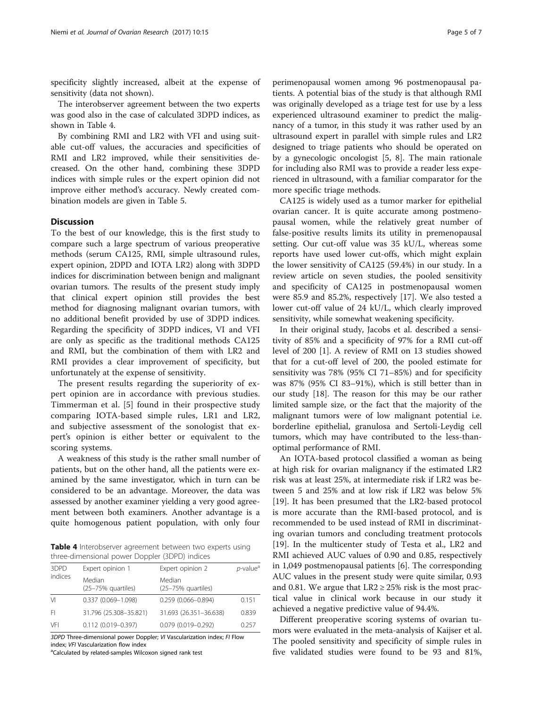specificity slightly increased, albeit at the expense of sensitivity (data not shown).

The interobserver agreement between the two experts was good also in the case of calculated 3DPD indices, as shown in Table 4.

By combining RMI and LR2 with VFI and using suitable cut-off values, the accuracies and specificities of RMI and LR2 improved, while their sensitivities decreased. On the other hand, combining these 3DPD indices with simple rules or the expert opinion did not improve either method's accuracy. Newly created combination models are given in Table [5](#page-5-0).

## **Discussion**

To the best of our knowledge, this is the first study to compare such a large spectrum of various preoperative methods (serum CA125, RMI, simple ultrasound rules, expert opinion, 2DPD and IOTA LR2) along with 3DPD indices for discrimination between benign and malignant ovarian tumors. The results of the present study imply that clinical expert opinion still provides the best method for diagnosing malignant ovarian tumors, with no additional benefit provided by use of 3DPD indices. Regarding the specificity of 3DPD indices, VI and VFI are only as specific as the traditional methods CA125 and RMI, but the combination of them with LR2 and RMI provides a clear improvement of specificity, but unfortunately at the expense of sensitivity.

The present results regarding the superiority of expert opinion are in accordance with previous studies. Timmerman et al. [[5](#page-6-0)] found in their prospective study comparing IOTA-based simple rules, LR1 and LR2, and subjective assessment of the sonologist that expert's opinion is either better or equivalent to the scoring systems.

A weakness of this study is the rather small number of patients, but on the other hand, all the patients were examined by the same investigator, which in turn can be considered to be an advantage. Moreover, the data was assessed by another examiner yielding a very good agreement between both examiners. Another advantage is a quite homogenous patient population, with only four

Table 4 Interobserver agreement between two experts using three-dimensional power Doppler (3DPD) indices

| 3DPD    | Expert opinion 1             | Expert opinion 2             | <i>p</i> -value <sup>a</sup> |  |  |
|---------|------------------------------|------------------------------|------------------------------|--|--|
| indices | Median<br>(25-75% quartiles) | Median<br>(25-75% quartiles) |                              |  |  |
| Μ       | $0.337(0.069 - 1.098)$       | $0.259(0.066 - 0.894)$       | 0.151                        |  |  |
| -FI     | 31.796 (25.308-35.821)       | 31.693 (26.351-36.638)       | 0.839                        |  |  |
| VFI     | $0.112(0.019 - 0.397)$       | $0.079(0.019 - 0.292)$       | 0.257                        |  |  |

3DPD Three-dimensional power Doppler; VI Vascularization index; FI Flow index: VFI Vascularization flow index

<sup>a</sup>Calculated by related-samples Wilcoxon signed rank test

perimenopausal women among 96 postmenopausal patients. A potential bias of the study is that although RMI was originally developed as a triage test for use by a less experienced ultrasound examiner to predict the malignancy of a tumor, in this study it was rather used by an ultrasound expert in parallel with simple rules and LR2 designed to triage patients who should be operated on by a gynecologic oncologist [\[5](#page-6-0), [8\]](#page-6-0). The main rationale for including also RMI was to provide a reader less experienced in ultrasound, with a familiar comparator for the more specific triage methods.

CA125 is widely used as a tumor marker for epithelial ovarian cancer. It is quite accurate among postmenopausal women, while the relatively great number of false-positive results limits its utility in premenopausal setting. Our cut-off value was 35 kU/L, whereas some reports have used lower cut-offs, which might explain the lower sensitivity of CA125 (59.4%) in our study. In a review article on seven studies, the pooled sensitivity and specificity of CA125 in postmenopausal women were 85.9 and 85.2%, respectively [\[17](#page-6-0)]. We also tested a lower cut-off value of 24 kU/L, which clearly improved sensitivity, while somewhat weakening specificity.

In their original study, Jacobs et al. described a sensitivity of 85% and a specificity of 97% for a RMI cut-off level of 200 [\[1\]](#page-6-0). A review of RMI on 13 studies showed that for a cut-off level of 200, the pooled estimate for sensitivity was 78% (95% CI 71–85%) and for specificity was 87% (95% CI 83–91%), which is still better than in our study [[18\]](#page-6-0). The reason for this may be our rather limited sample size, or the fact that the majority of the malignant tumors were of low malignant potential i.e. borderline epithelial, granulosa and Sertoli-Leydig cell tumors, which may have contributed to the less-thanoptimal performance of RMI.

An IOTA-based protocol classified a woman as being at high risk for ovarian malignancy if the estimated LR2 risk was at least 25%, at intermediate risk if LR2 was between 5 and 25% and at low risk if LR2 was below 5% [[19\]](#page-6-0). It has been presumed that the LR2-based protocol is more accurate than the RMI-based protocol, and is recommended to be used instead of RMI in discriminating ovarian tumors and concluding treatment protocols [[19\]](#page-6-0). In the multicenter study of Testa et al., LR2 and RMI achieved AUC values of 0.90 and 0.85, respectively in 1,049 postmenopausal patients [[6](#page-6-0)]. The corresponding AUC values in the present study were quite similar, 0.93 and 0.81. We argue that  $LR2 \geq 25\%$  risk is the most practical value in clinical work because in our study it achieved a negative predictive value of 94.4%.

Different preoperative scoring systems of ovarian tumors were evaluated in the meta-analysis of Kaijser et al. The pooled sensitivity and specificity of simple rules in five validated studies were found to be 93 and 81%,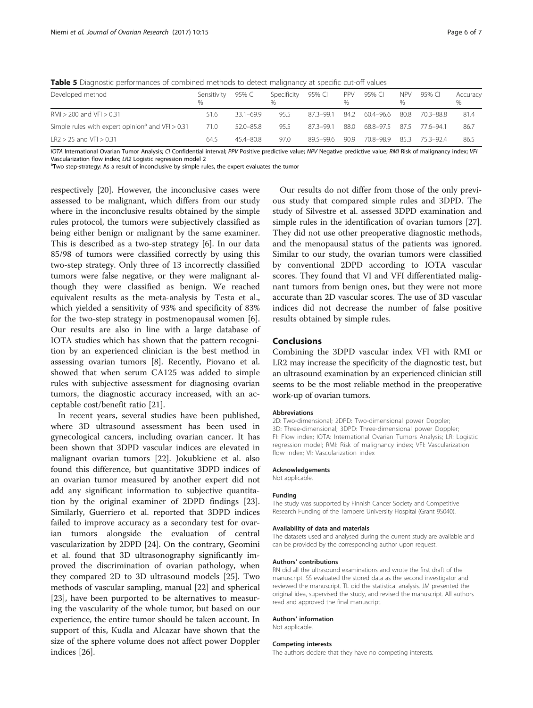<span id="page-5-0"></span>Table 5 Diagnostic performances of combined methods to detect malignancy at specific cut-off values

| Developed method                                               | Sensitivity<br>℆ | 95% CI        | Specificity<br>$\%$ | 95% CI    | <b>PPV</b> | 95% CI         | NPV  | 95% CI    | Accuracy<br>$\%$ |
|----------------------------------------------------------------|------------------|---------------|---------------------|-----------|------------|----------------|------|-----------|------------------|
| $RM > 200$ and $VF > 0.31$                                     | 51.6             | 331-699       | 95.5                | 87.3-99.1 | 84.2       | 60.4–96.6      | 80.8 | 703-888   | 81.4             |
| Simple rules with expert opinion <sup>a</sup> and $VFI > 0.31$ | 71.0             | $52.0 - 85.8$ | 95.5                | 87.3-99.1 | 880        | 68.8–97.5 87.5 |      | 77 6–94 1 | 86.7             |
| $LR2 > 25$ and $VF1 > 0.31$                                    | 64.5             | $454 - 808$   | 97.0                | 89.5-99.6 | 90.9       | 70.8-98.9      | 85.3 | 75.3–92.4 | 86.5             |

IOTA International Ovarian Tumor Analysis; CI Confidential interval; PPV Positive predictive value; NPV Negative predictive value; RMI Risk of malignancy index; VFI

Vascularization flow index: LR2 Logistic regression model 2

<sup>a</sup>Two step-strategy: As a result of inconclusive by simple rules, the expert evaluates the tumor

respectively [[20\]](#page-6-0). However, the inconclusive cases were assessed to be malignant, which differs from our study where in the inconclusive results obtained by the simple rules protocol, the tumors were subjectively classified as being either benign or malignant by the same examiner. This is described as a two-step strategy [\[6\]](#page-6-0). In our data 85/98 of tumors were classified correctly by using this two-step strategy. Only three of 13 incorrectly classified tumors were false negative, or they were malignant although they were classified as benign. We reached equivalent results as the meta-analysis by Testa et al., which yielded a sensitivity of 93% and specificity of 83% for the two-step strategy in postmenopausal women [\[6](#page-6-0)]. Our results are also in line with a large database of IOTA studies which has shown that the pattern recognition by an experienced clinician is the best method in assessing ovarian tumors [\[8](#page-6-0)]. Recently, Piovano et al. showed that when serum CA125 was added to simple rules with subjective assessment for diagnosing ovarian tumors, the diagnostic accuracy increased, with an acceptable cost/benefit ratio [\[21](#page-6-0)].

In recent years, several studies have been published, where 3D ultrasound assessment has been used in gynecological cancers, including ovarian cancer. It has been shown that 3DPD vascular indices are elevated in malignant ovarian tumors [\[22\]](#page-6-0). Jokubkiene et al. also found this difference, but quantitative 3DPD indices of an ovarian tumor measured by another expert did not add any significant information to subjective quantitation by the original examiner of 2DPD findings [\[23](#page-6-0)]. Similarly, Guerriero et al. reported that 3DPD indices failed to improve accuracy as a secondary test for ovarian tumors alongside the evaluation of central vascularization by 2DPD [[24](#page-6-0)]. On the contrary, Geomini et al. found that 3D ultrasonography significantly improved the discrimination of ovarian pathology, when they compared 2D to 3D ultrasound models [[25\]](#page-6-0). Two methods of vascular sampling, manual [\[22](#page-6-0)] and spherical [[23\]](#page-6-0), have been purported to be alternatives to measuring the vascularity of the whole tumor, but based on our experience, the entire tumor should be taken account. In support of this, Kudla and Alcazar have shown that the size of the sphere volume does not affect power Doppler indices [\[26\]](#page-6-0).

Our results do not differ from those of the only previous study that compared simple rules and 3DPD. The study of Silvestre et al. assessed 3DPD examination and simple rules in the identification of ovarian tumors [\[27](#page-6-0)]. They did not use other preoperative diagnostic methods, and the menopausal status of the patients was ignored. Similar to our study, the ovarian tumors were classified by conventional 2DPD according to IOTA vascular scores. They found that VI and VFI differentiated malignant tumors from benign ones, but they were not more accurate than 2D vascular scores. The use of 3D vascular indices did not decrease the number of false positive results obtained by simple rules.

## Conclusions

Combining the 3DPD vascular index VFI with RMI or LR2 may increase the specificity of the diagnostic test, but an ultrasound examination by an experienced clinician still seems to be the most reliable method in the preoperative work-up of ovarian tumors.

#### Abbreviations

2D: Two-dimensional; 2DPD: Two-dimensional power Doppler; 3D: Three-dimensional; 3DPD: Three-dimensional power Doppler; FI: Flow index; IOTA: International Ovarian Tumors Analysis; LR: Logistic regression model; RMI: Risk of malignancy index; VFI: Vascularization flow index; VI: Vascularization index

#### Acknowledgements

Not applicable.

#### Funding

The study was supported by Finnish Cancer Society and Competitive Research Funding of the Tampere University Hospital (Grant 9S040).

#### Availability of data and materials

The datasets used and analysed during the current study are available and can be provided by the corresponding author upon request.

#### Authors' contributions

RN did all the ultrasound examinations and wrote the first draft of the manuscript. SS evaluated the stored data as the second investigator and reviewed the manuscript. TL did the statistical analysis. JM presented the original idea, supervised the study, and revised the manuscript. All authors read and approved the final manuscript.

#### Authors' information

Not applicable.

#### Competing interests

The authors declare that they have no competing interests.